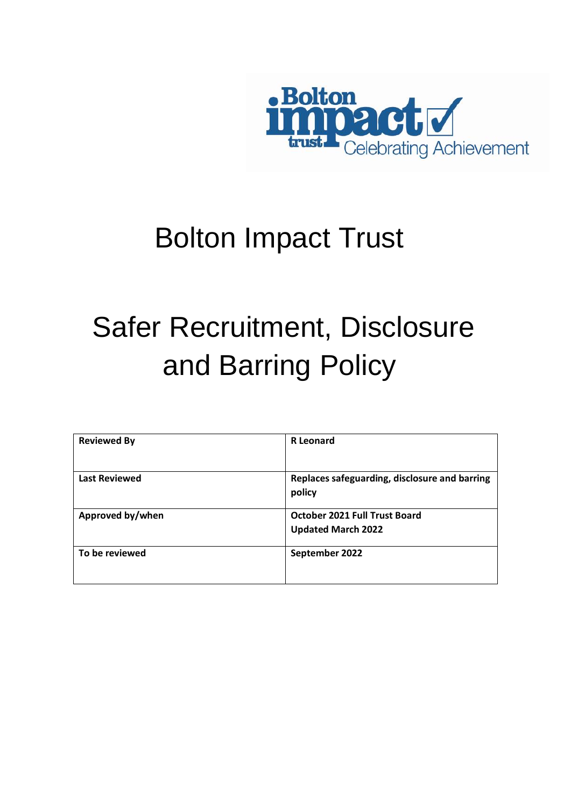

# Bolton Impact Trust

# Safer Recruitment, Disclosure and Barring Policy

| <b>Reviewed By</b>   | <b>R</b> Leonard                              |
|----------------------|-----------------------------------------------|
|                      |                                               |
| <b>Last Reviewed</b> | Replaces safeguarding, disclosure and barring |
|                      | policy                                        |
| Approved by/when     | October 2021 Full Trust Board                 |
|                      | <b>Updated March 2022</b>                     |
| To be reviewed       | September 2022                                |
|                      |                                               |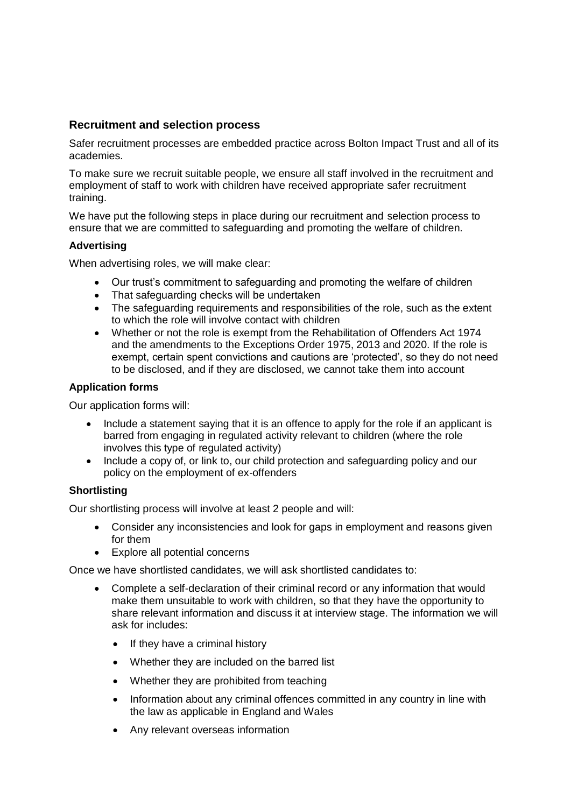# **Recruitment and selection process**

Safer recruitment processes are embedded practice across Bolton Impact Trust and all of its academies.

To make sure we recruit suitable people, we ensure all staff involved in the recruitment and employment of staff to work with children have received appropriate safer recruitment training.

We have put the following steps in place during our recruitment and selection process to ensure that we are committed to safeguarding and promoting the welfare of children.

# **Advertising**

When advertising roles, we will make clear:

- Our trust's commitment to safeguarding and promoting the welfare of children
- That safeguarding checks will be undertaken
- The safeguarding requirements and responsibilities of the role, such as the extent to which the role will involve contact with children
- Whether or not the role is exempt from the Rehabilitation of Offenders Act 1974 and the amendments to the Exceptions Order 1975, 2013 and 2020. If the role is exempt, certain spent convictions and cautions are 'protected', so they do not need to be disclosed, and if they are disclosed, we cannot take them into account

## **Application forms**

Our application forms will:

- Include a statement saying that it is an offence to apply for the role if an applicant is barred from engaging in regulated activity relevant to children (where the role involves this type of regulated activity)
- Include a copy of, or link to, our child protection and safeguarding policy and our policy on the employment of ex-offenders

## **Shortlisting**

Our shortlisting process will involve at least 2 people and will:

- Consider any inconsistencies and look for gaps in employment and reasons given for them
- Explore all potential concerns

Once we have shortlisted candidates, we will ask shortlisted candidates to:

- Complete a self-declaration of their criminal record or any information that would make them unsuitable to work with children, so that they have the opportunity to share relevant information and discuss it at interview stage. The information we will ask for includes:
	- If they have a criminal history
	- Whether they are included on the barred list
	- Whether they are prohibited from teaching
	- Information about any criminal offences committed in any country in line with the law as applicable in England and Wales
	- Any relevant overseas information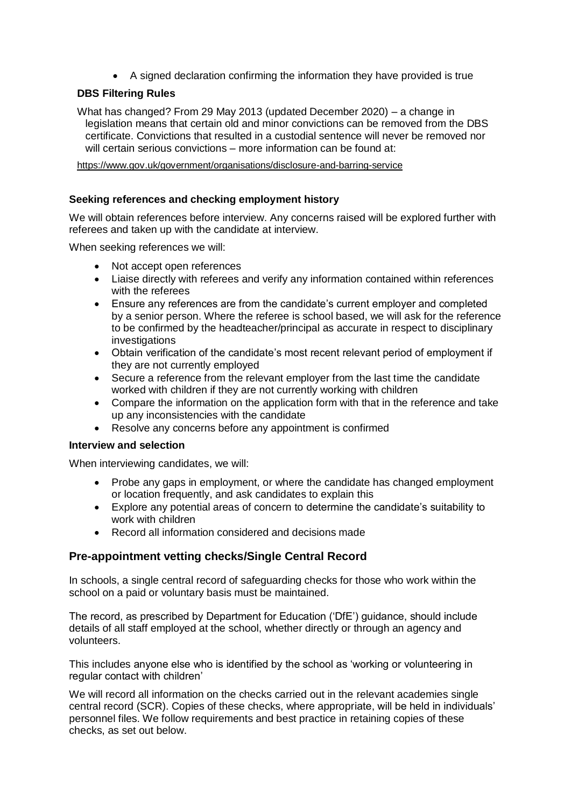A signed declaration confirming the information they have provided is true

# **DBS Filtering Rules**

What has changed? From 29 May 2013 (updated December 2020) – a change in legislation means that certain old and minor convictions can be removed from the DBS certificate. Convictions that resulted in a custodial sentence will never be removed nor will certain serious convictions – more information can be found at:

<https://www.gov.uk/government/organisations/disclosure-and-barring-service>

## **Seeking references and checking employment history**

We will obtain references before interview. Any concerns raised will be explored further with referees and taken up with the candidate at interview.

When seeking references we will:

- Not accept open references
- Liaise directly with referees and verify any information contained within references with the referees
- Ensure any references are from the candidate's current employer and completed by a senior person. Where the referee is school based, we will ask for the reference to be confirmed by the headteacher/principal as accurate in respect to disciplinary investigations
- Obtain verification of the candidate's most recent relevant period of employment if they are not currently employed
- Secure a reference from the relevant employer from the last time the candidate worked with children if they are not currently working with children
- Compare the information on the application form with that in the reference and take up any inconsistencies with the candidate
- Resolve any concerns before any appointment is confirmed

#### **Interview and selection**

When interviewing candidates, we will:

- Probe any gaps in employment, or where the candidate has changed employment or location frequently, and ask candidates to explain this
- Explore any potential areas of concern to determine the candidate's suitability to work with children
- Record all information considered and decisions made

# **Pre-appointment vetting checks/Single Central Record**

In schools, a single central record of safeguarding checks for those who work within the school on a paid or voluntary basis must be maintained.

The record, as prescribed by Department for Education ('DfE') guidance, should include details of all staff employed at the school, whether directly or through an agency and volunteers.

This includes anyone else who is identified by the school as 'working or volunteering in regular contact with children'

We will record all information on the checks carried out in the relevant academies single central record (SCR). Copies of these checks, where appropriate, will be held in individuals' personnel files. We follow requirements and best practice in retaining copies of these checks, as set out below.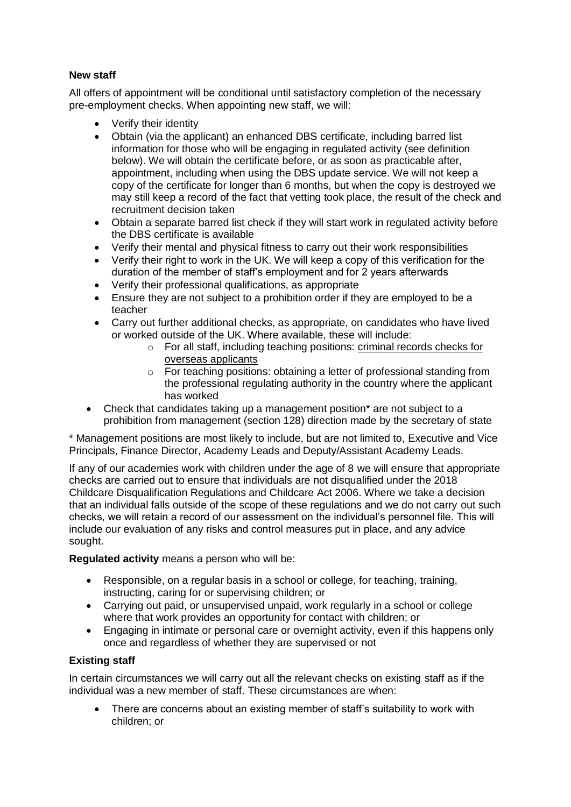# **New staff**

All offers of appointment will be conditional until satisfactory completion of the necessary pre-employment checks. When appointing new staff, we will:

- Verify their identity
- Obtain (via the applicant) an enhanced DBS certificate, including barred list information for those who will be engaging in regulated activity (see definition below). We will obtain the certificate before, or as soon as practicable after, appointment, including when using the DBS update service. We will not keep a copy of the certificate for longer than 6 months, but when the copy is destroyed we may still keep a record of the fact that vetting took place, the result of the check and recruitment decision taken
- Obtain a separate barred list check if they will start work in regulated activity before the DBS certificate is available
- Verify their mental and physical fitness to carry out their work responsibilities
- Verify their right to work in the UK. We will keep a copy of this verification for the duration of the member of staff's employment and for 2 years afterwards
- Verify their professional qualifications, as appropriate
- Ensure they are not subject to a prohibition order if they are employed to be a teacher
- Carry out further additional checks, as appropriate, on candidates who have lived or worked outside of the UK. Where available, these will include:
	- $\circ$  For all staff, including teaching positions: criminal records checks for [overseas applicants](https://www.gov.uk/government/publications/criminal-records-checks-for-overseas-applicants)
	- o For teaching positions: obtaining a letter of professional standing from the professional regulating authority in the country where the applicant has worked
- Check that candidates taking up a management position\* are not subject to a prohibition from management (section 128) direction made by the secretary of state

\* Management positions are most likely to include, but are not limited to, Executive and Vice Principals, Finance Director, Academy Leads and Deputy/Assistant Academy Leads.

If any of our academies work with children under the age of 8 we will ensure that appropriate checks are carried out to ensure that individuals are not disqualified under the 2018 Childcare Disqualification Regulations and Childcare Act 2006. Where we take a decision that an individual falls outside of the scope of these regulations and we do not carry out such checks, we will retain a record of our assessment on the individual's personnel file. This will include our evaluation of any risks and control measures put in place, and any advice sought.

**Regulated activity** means a person who will be:

- Responsible, on a regular basis in a school or college, for teaching, training, instructing, caring for or supervising children; or
- Carrying out paid, or unsupervised unpaid, work regularly in a school or college where that work provides an opportunity for contact with children; or
- Engaging in intimate or personal care or overnight activity, even if this happens only once and regardless of whether they are supervised or not

## **Existing staff**

In certain circumstances we will carry out all the relevant checks on existing staff as if the individual was a new member of staff. These circumstances are when:

 There are concerns about an existing member of staff's suitability to work with children; or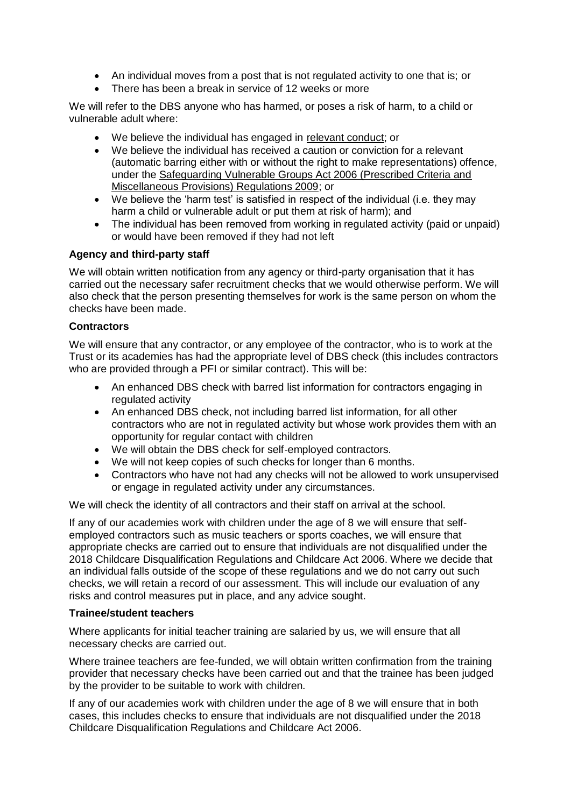- An individual moves from a post that is not regulated activity to one that is; or
- There has been a break in service of 12 weeks or more

We will refer to the DBS anyone who has harmed, or poses a risk of harm, to a child or vulnerable adult where:

- We believe the individual has engaged in [relevant conduct;](https://www.gov.uk/guidance/making-barring-referrals-to-the-dbs#relevant-conduct-in-relation-to-children) or
- We believe the individual has received a caution or conviction for a relevant (automatic barring either with or without the right to make representations) offence, under the [Safeguarding Vulnerable Groups Act 2006 \(Prescribed Criteria and](http://www.legislation.gov.uk/uksi/2009/37/contents/made)  [Miscellaneous Provisions\) Regulations 2009;](http://www.legislation.gov.uk/uksi/2009/37/contents/made) or
- We believe the 'harm test' is satisfied in respect of the individual (i.e. they may harm a child or vulnerable adult or put them at risk of harm); and
- The individual has been removed from working in regulated activity (paid or unpaid) or would have been removed if they had not left

# **Agency and third-party staff**

We will obtain written notification from any agency or third-party organisation that it has carried out the necessary safer recruitment checks that we would otherwise perform. We will also check that the person presenting themselves for work is the same person on whom the checks have been made.

## **Contractors**

We will ensure that any contractor, or any employee of the contractor, who is to work at the Trust or its academies has had the appropriate level of DBS check (this includes contractors who are provided through a PFI or similar contract). This will be:

- An enhanced DBS check with barred list information for contractors engaging in regulated activity
- An enhanced DBS check, not including barred list information, for all other contractors who are not in regulated activity but whose work provides them with an opportunity for regular contact with children
- We will obtain the DBS check for self-employed contractors.
- We will not keep copies of such checks for longer than 6 months.
- Contractors who have not had any checks will not be allowed to work unsupervised or engage in regulated activity under any circumstances.

We will check the identity of all contractors and their staff on arrival at the school.

If any of our academies work with children under the age of 8 we will ensure that selfemployed contractors such as music teachers or sports coaches, we will ensure that appropriate checks are carried out to ensure that individuals are not disqualified under the 2018 Childcare Disqualification Regulations and Childcare Act 2006. Where we decide that an individual falls outside of the scope of these regulations and we do not carry out such checks, we will retain a record of our assessment. This will include our evaluation of any risks and control measures put in place, and any advice sought.

## **Trainee/student teachers**

Where applicants for initial teacher training are salaried by us, we will ensure that all necessary checks are carried out.

Where trainee teachers are fee-funded, we will obtain written confirmation from the training provider that necessary checks have been carried out and that the trainee has been judged by the provider to be suitable to work with children.

If any of our academies work with children under the age of 8 we will ensure that in both cases, this includes checks to ensure that individuals are not disqualified under the 2018 Childcare Disqualification Regulations and Childcare Act 2006.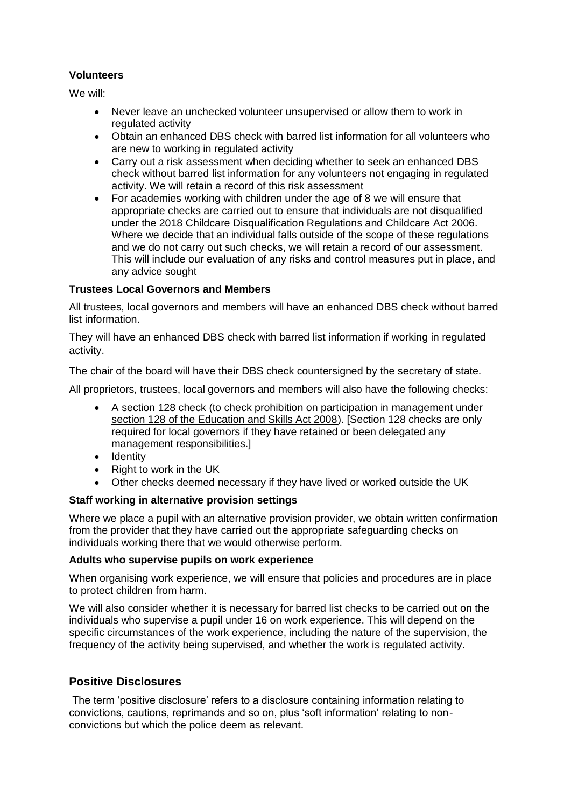# **Volunteers**

We will:

- Never leave an unchecked volunteer unsupervised or allow them to work in regulated activity
- Obtain an enhanced DBS check with barred list information for all volunteers who are new to working in regulated activity
- Carry out a risk assessment when deciding whether to seek an enhanced DBS check without barred list information for any volunteers not engaging in regulated activity. We will retain a record of this risk assessment
- For academies working with children under the age of 8 we will ensure that appropriate checks are carried out to ensure that individuals are not disqualified under the 2018 Childcare Disqualification Regulations and Childcare Act 2006. Where we decide that an individual falls outside of the scope of these regulations and we do not carry out such checks, we will retain a record of our assessment. This will include our evaluation of any risks and control measures put in place, and any advice sought

# **Trustees Local Governors and Members**

All trustees, local governors and members will have an enhanced DBS check without barred list information.

They will have an enhanced DBS check with barred list information if working in regulated activity.

The chair of the board will have their DBS check countersigned by the secretary of state.

All proprietors, trustees, local governors and members will also have the following checks:

- A section 128 check (to check prohibition on participation in management under [section 128 of the Education and Skills Act 2008\)](https://www.legislation.gov.uk/ukpga/2008/25/section/128). [Section 128 checks are only required for local governors if they have retained or been delegated any management responsibilities.]
- Identity
- $\bullet$  Right to work in the UK
- Other checks deemed necessary if they have lived or worked outside the UK

## **Staff working in alternative provision settings**

Where we place a pupil with an alternative provision provider, we obtain written confirmation from the provider that they have carried out the appropriate safeguarding checks on individuals working there that we would otherwise perform.

## **Adults who supervise pupils on work experience**

When organising work experience, we will ensure that policies and procedures are in place to protect children from harm.

We will also consider whether it is necessary for barred list checks to be carried out on the individuals who supervise a pupil under 16 on work experience. This will depend on the specific circumstances of the work experience, including the nature of the supervision, the frequency of the activity being supervised, and whether the work is regulated activity.

# **Positive Disclosures**

The term 'positive disclosure' refers to a disclosure containing information relating to convictions, cautions, reprimands and so on, plus 'soft information' relating to nonconvictions but which the police deem as relevant.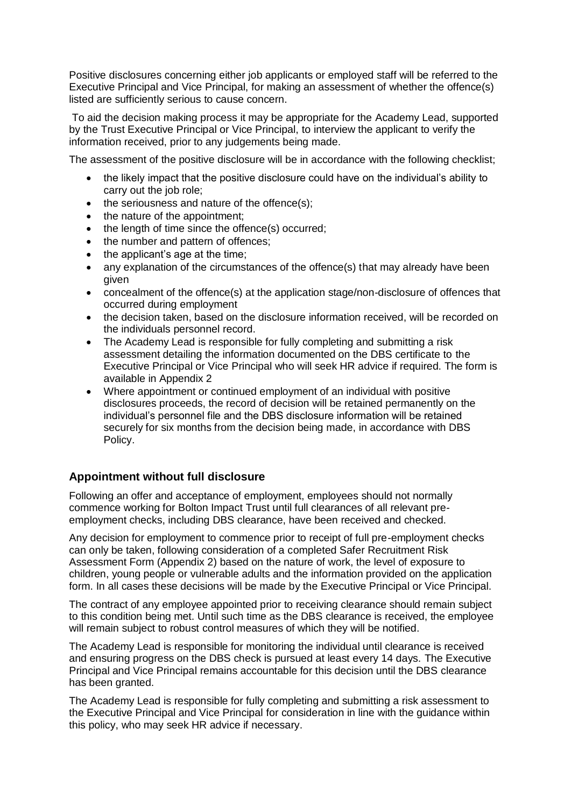Positive disclosures concerning either job applicants or employed staff will be referred to the Executive Principal and Vice Principal, for making an assessment of whether the offence(s) listed are sufficiently serious to cause concern.

To aid the decision making process it may be appropriate for the Academy Lead, supported by the Trust Executive Principal or Vice Principal, to interview the applicant to verify the information received, prior to any judgements being made.

The assessment of the positive disclosure will be in accordance with the following checklist;

- the likely impact that the positive disclosure could have on the individual's ability to carry out the job role;
- $\bullet$  the seriousness and nature of the offence(s);
- the nature of the appointment:
- the length of time since the offence(s) occurred;
- the number and pattern of offences;
- the applicant's age at the time;
- any explanation of the circumstances of the offence(s) that may already have been given
- concealment of the offence(s) at the application stage/non-disclosure of offences that occurred during employment
- the decision taken, based on the disclosure information received, will be recorded on the individuals personnel record.
- The Academy Lead is responsible for fully completing and submitting a risk assessment detailing the information documented on the DBS certificate to the Executive Principal or Vice Principal who will seek HR advice if required. The form is available in Appendix 2
- Where appointment or continued employment of an individual with positive disclosures proceeds, the record of decision will be retained permanently on the individual's personnel file and the DBS disclosure information will be retained securely for six months from the decision being made, in accordance with DBS Policy.

# **Appointment without full disclosure**

Following an offer and acceptance of employment, employees should not normally commence working for Bolton Impact Trust until full clearances of all relevant preemployment checks, including DBS clearance, have been received and checked.

Any decision for employment to commence prior to receipt of full pre-employment checks can only be taken, following consideration of a completed Safer Recruitment Risk Assessment Form (Appendix 2) based on the nature of work, the level of exposure to children, young people or vulnerable adults and the information provided on the application form. In all cases these decisions will be made by the Executive Principal or Vice Principal.

The contract of any employee appointed prior to receiving clearance should remain subject to this condition being met. Until such time as the DBS clearance is received, the employee will remain subject to robust control measures of which they will be notified.

The Academy Lead is responsible for monitoring the individual until clearance is received and ensuring progress on the DBS check is pursued at least every 14 days. The Executive Principal and Vice Principal remains accountable for this decision until the DBS clearance has been granted.

The Academy Lead is responsible for fully completing and submitting a risk assessment to the Executive Principal and Vice Principal for consideration in line with the guidance within this policy, who may seek HR advice if necessary.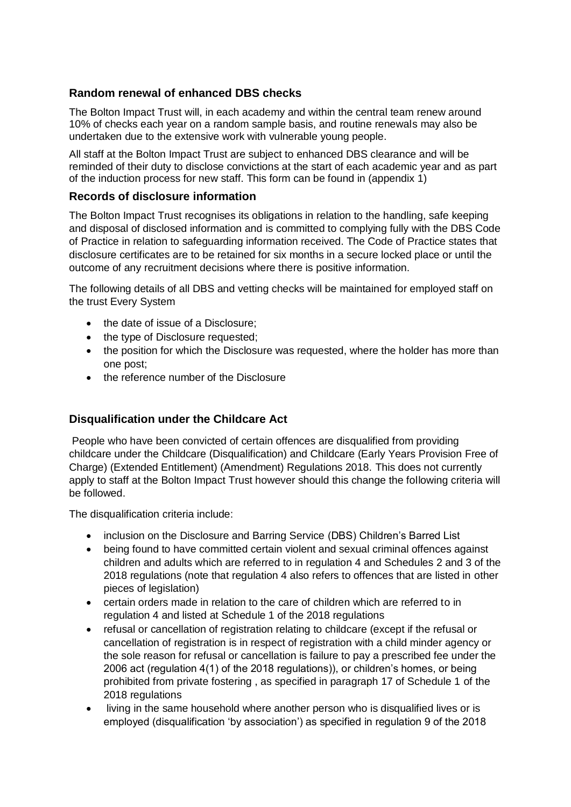# **Random renewal of enhanced DBS checks**

The Bolton Impact Trust will, in each academy and within the central team renew around 10% of checks each year on a random sample basis, and routine renewals may also be undertaken due to the extensive work with vulnerable young people.

All staff at the Bolton Impact Trust are subject to enhanced DBS clearance and will be reminded of their duty to disclose convictions at the start of each academic year and as part of the induction process for new staff. This form can be found in (appendix 1)

# **Records of disclosure information**

The Bolton Impact Trust recognises its obligations in relation to the handling, safe keeping and disposal of disclosed information and is committed to complying fully with the DBS Code of Practice in relation to safeguarding information received. The Code of Practice states that disclosure certificates are to be retained for six months in a secure locked place or until the outcome of any recruitment decisions where there is positive information.

The following details of all DBS and vetting checks will be maintained for employed staff on the trust Every System

- the date of issue of a Disclosure:
- the type of Disclosure requested;
- the position for which the Disclosure was requested, where the holder has more than one post;
- **the reference number of the Disclosure**

# **Disqualification under the Childcare Act**

People who have been convicted of certain offences are disqualified from providing childcare under the Childcare (Disqualification) and Childcare (Early Years Provision Free of Charge) (Extended Entitlement) (Amendment) Regulations 2018. This does not currently apply to staff at the Bolton Impact Trust however should this change the following criteria will be followed.

The disqualification criteria include:

- inclusion on the Disclosure and Barring Service (DBS) Children's Barred List
- being found to have committed certain violent and sexual criminal offences against children and adults which are referred to in regulation 4 and Schedules 2 and 3 of the 2018 regulations (note that regulation 4 also refers to offences that are listed in other pieces of legislation)
- certain orders made in relation to the care of children which are referred to in regulation 4 and listed at Schedule 1 of the 2018 regulations
- refusal or cancellation of registration relating to childcare (except if the refusal or cancellation of registration is in respect of registration with a child minder agency or the sole reason for refusal or cancellation is failure to pay a prescribed fee under the 2006 act (regulation 4(1) of the 2018 regulations)), or children's homes, or being prohibited from private fostering , as specified in paragraph 17 of Schedule 1 of the 2018 regulations
- living in the same household where another person who is disqualified lives or is employed (disqualification 'by association') as specified in regulation 9 of the 2018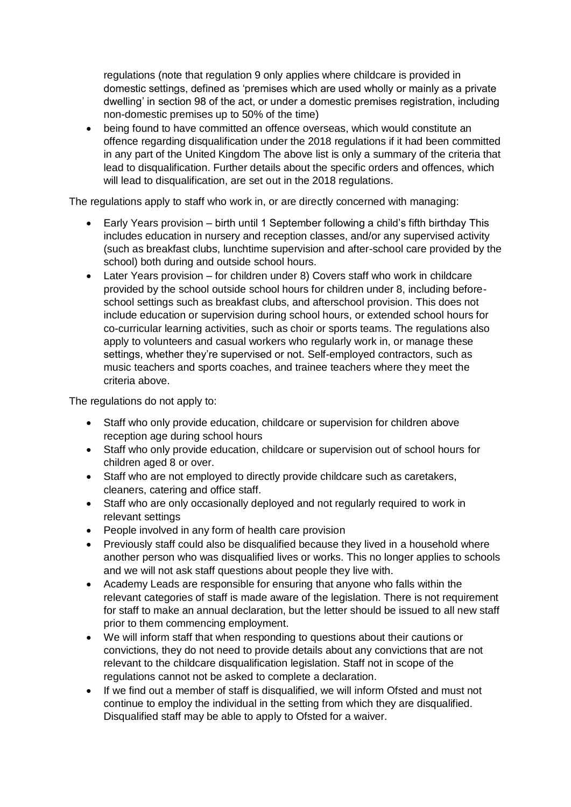regulations (note that regulation 9 only applies where childcare is provided in domestic settings, defined as 'premises which are used wholly or mainly as a private dwelling' in section 98 of the act, or under a domestic premises registration, including non-domestic premises up to 50% of the time)

 being found to have committed an offence overseas, which would constitute an offence regarding disqualification under the 2018 regulations if it had been committed in any part of the United Kingdom The above list is only a summary of the criteria that lead to disqualification. Further details about the specific orders and offences, which will lead to disqualification, are set out in the 2018 regulations.

The regulations apply to staff who work in, or are directly concerned with managing:

- Early Years provision birth until 1 September following a child's fifth birthday This includes education in nursery and reception classes, and/or any supervised activity (such as breakfast clubs, lunchtime supervision and after-school care provided by the school) both during and outside school hours.
- Later Years provision for children under 8) Covers staff who work in childcare provided by the school outside school hours for children under 8, including beforeschool settings such as breakfast clubs, and afterschool provision. This does not include education or supervision during school hours, or extended school hours for co-curricular learning activities, such as choir or sports teams. The regulations also apply to volunteers and casual workers who regularly work in, or manage these settings, whether they're supervised or not. Self-employed contractors, such as music teachers and sports coaches, and trainee teachers where they meet the criteria above.

The regulations do not apply to:

- Staff who only provide education, childcare or supervision for children above reception age during school hours
- Staff who only provide education, childcare or supervision out of school hours for children aged 8 or over.
- Staff who are not employed to directly provide childcare such as caretakers, cleaners, catering and office staff.
- Staff who are only occasionally deployed and not regularly required to work in relevant settings
- People involved in any form of health care provision
- Previously staff could also be disqualified because they lived in a household where another person who was disqualified lives or works. This no longer applies to schools and we will not ask staff questions about people they live with.
- Academy Leads are responsible for ensuring that anyone who falls within the relevant categories of staff is made aware of the legislation. There is not requirement for staff to make an annual declaration, but the letter should be issued to all new staff prior to them commencing employment.
- We will inform staff that when responding to questions about their cautions or convictions, they do not need to provide details about any convictions that are not relevant to the childcare disqualification legislation. Staff not in scope of the regulations cannot not be asked to complete a declaration.
- If we find out a member of staff is disqualified, we will inform Ofsted and must not continue to employ the individual in the setting from which they are disqualified. Disqualified staff may be able to apply to Ofsted for a waiver.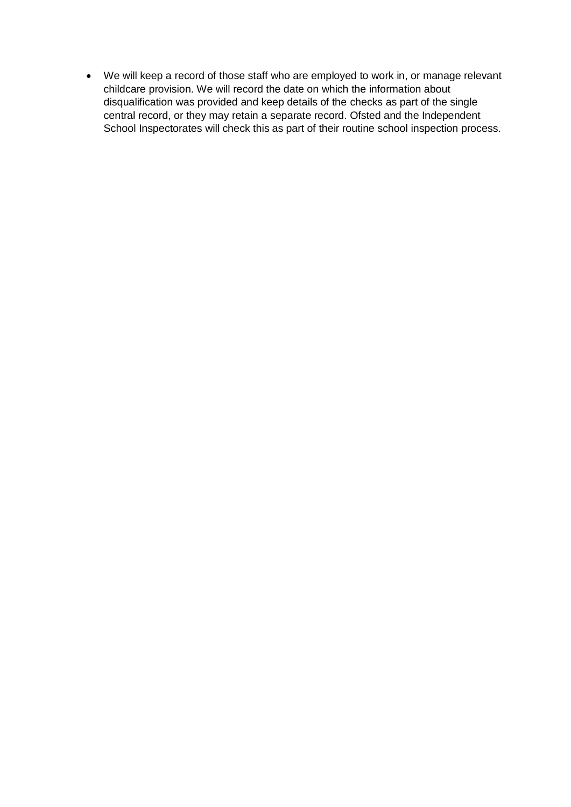We will keep a record of those staff who are employed to work in, or manage relevant childcare provision. We will record the date on which the information about disqualification was provided and keep details of the checks as part of the single central record, or they may retain a separate record. Ofsted and the Independent School Inspectorates will check this as part of their routine school inspection process.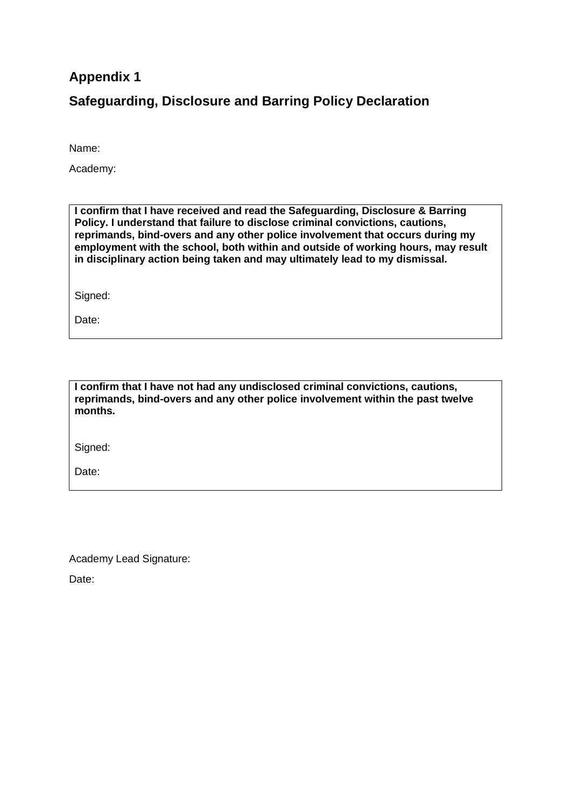# **Appendix 1**

**Safeguarding, Disclosure and Barring Policy Declaration**

Name:

Academy:

**I confirm that I have received and read the Safeguarding, Disclosure & Barring Policy. I understand that failure to disclose criminal convictions, cautions, reprimands, bind-overs and any other police involvement that occurs during my employment with the school, both within and outside of working hours, may result in disciplinary action being taken and may ultimately lead to my dismissal.**

Signed:

Date:

**I confirm that I have not had any undisclosed criminal convictions, cautions, reprimands, bind-overs and any other police involvement within the past twelve months.**

Signed:

Date:

Academy Lead Signature:

Date: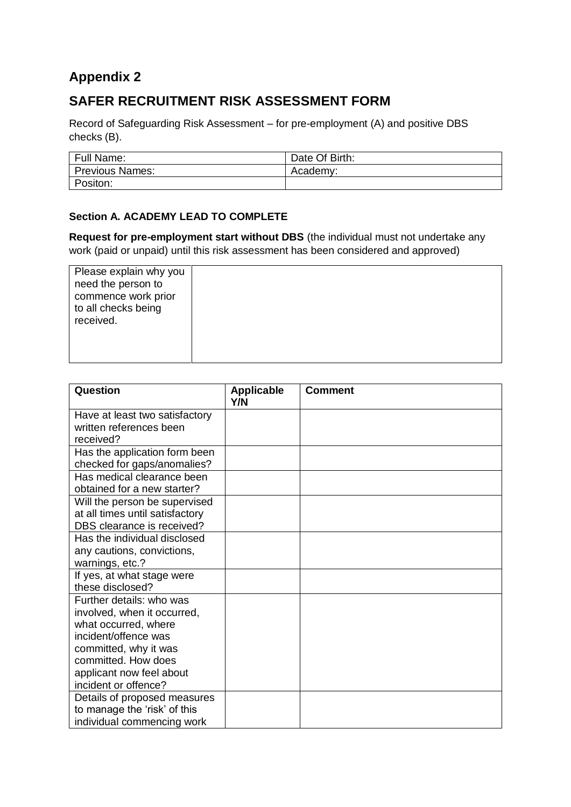# **Appendix 2**

# **SAFER RECRUITMENT RISK ASSESSMENT FORM**

Record of Safeguarding Risk Assessment – for pre-employment (A) and positive DBS checks (B).

| <b>Full Name:</b>      | Date Of Birth: |
|------------------------|----------------|
| <b>Previous Names:</b> | Academy:       |
| Positon:               |                |

# **Section A. ACADEMY LEAD TO COMPLETE**

**Request for pre-employment start without DBS** (the individual must not undertake any work (paid or unpaid) until this risk assessment has been considered and approved)

| Please explain why you |  |
|------------------------|--|
| need the person to     |  |
| commence work prior    |  |
| to all checks being    |  |
| received.              |  |
|                        |  |
|                        |  |
|                        |  |

| Question                        | <b>Applicable</b><br>Y/N | <b>Comment</b> |
|---------------------------------|--------------------------|----------------|
| Have at least two satisfactory  |                          |                |
| written references been         |                          |                |
| received?                       |                          |                |
| Has the application form been   |                          |                |
| checked for gaps/anomalies?     |                          |                |
| Has medical clearance been      |                          |                |
| obtained for a new starter?     |                          |                |
| Will the person be supervised   |                          |                |
| at all times until satisfactory |                          |                |
| DBS clearance is received?      |                          |                |
| Has the individual disclosed    |                          |                |
| any cautions, convictions,      |                          |                |
| warnings, etc.?                 |                          |                |
| If yes, at what stage were      |                          |                |
| these disclosed?                |                          |                |
| Further details: who was        |                          |                |
| involved, when it occurred,     |                          |                |
| what occurred, where            |                          |                |
| incident/offence was            |                          |                |
| committed, why it was           |                          |                |
| committed. How does             |                          |                |
| applicant now feel about        |                          |                |
| incident or offence?            |                          |                |
| Details of proposed measures    |                          |                |
| to manage the 'risk' of this    |                          |                |
| individual commencing work      |                          |                |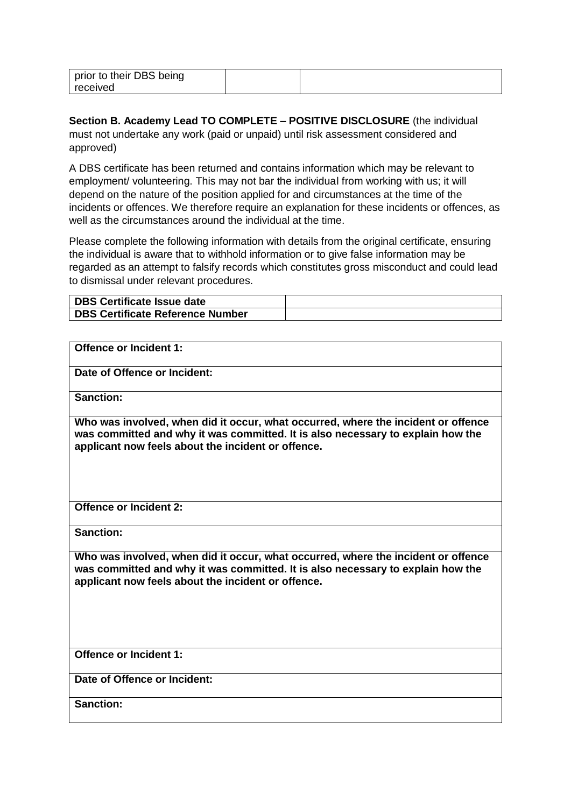| prior to their DBS being |  |
|--------------------------|--|
| received                 |  |

**Section B. Academy Lead TO COMPLETE – POSITIVE DISCLOSURE** (the individual must not undertake any work (paid or unpaid) until risk assessment considered and approved)

A DBS certificate has been returned and contains information which may be relevant to employment/ volunteering. This may not bar the individual from working with us; it will depend on the nature of the position applied for and circumstances at the time of the incidents or offences. We therefore require an explanation for these incidents or offences, as well as the circumstances around the individual at the time.

Please complete the following information with details from the original certificate, ensuring the individual is aware that to withhold information or to give false information may be regarded as an attempt to falsify records which constitutes gross misconduct and could lead to dismissal under relevant procedures.

| DBS Certificate Issue date       |  |
|----------------------------------|--|
| DBS Certificate Reference Number |  |

| <b>Offence or Incident 1:</b>                                                                                                                                                                                              |
|----------------------------------------------------------------------------------------------------------------------------------------------------------------------------------------------------------------------------|
| Date of Offence or Incident:                                                                                                                                                                                               |
| <b>Sanction:</b>                                                                                                                                                                                                           |
| Who was involved, when did it occur, what occurred, where the incident or offence<br>was committed and why it was committed. It is also necessary to explain how the<br>applicant now feels about the incident or offence. |
| <b>Offence or Incident 2:</b>                                                                                                                                                                                              |
| <b>Sanction:</b>                                                                                                                                                                                                           |
| Who was involved, when did it occur, what occurred, where the incident or offence<br>was committed and why it was committed. It is also necessary to explain how the<br>applicant now feels about the incident or offence. |
| <b>Offence or Incident 1:</b>                                                                                                                                                                                              |
| Date of Offence or Incident:                                                                                                                                                                                               |
| <b>Sanction:</b>                                                                                                                                                                                                           |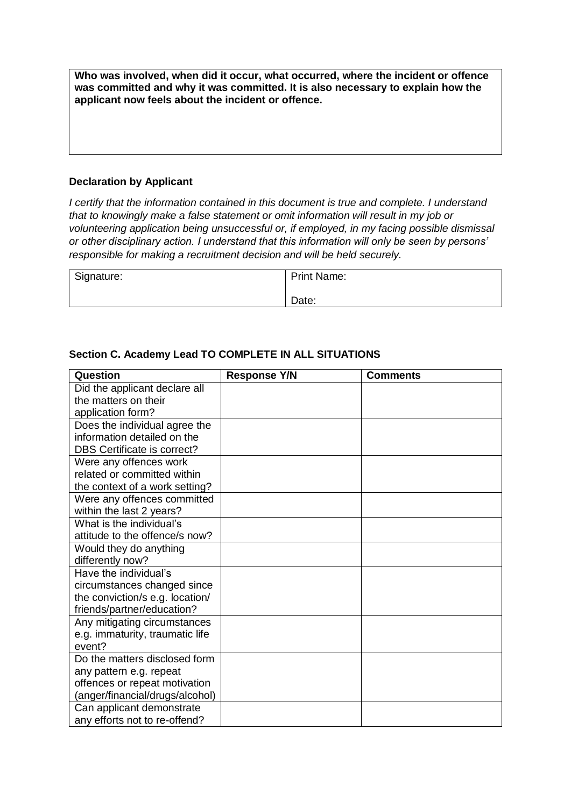**Who was involved, when did it occur, what occurred, where the incident or offence was committed and why it was committed. It is also necessary to explain how the applicant now feels about the incident or offence.**

#### **Declaration by Applicant**

*I certify that the information contained in this document is true and complete. I understand that to knowingly make a false statement or omit information will result in my job or volunteering application being unsuccessful or, if employed, in my facing possible dismissal or other disciplinary action. I understand that this information will only be seen by persons' responsible for making a recruitment decision and will be held securely.*

| Signature: | <b>Print Name:</b> |
|------------|--------------------|
|            | Date:              |

| Question                           | <b>Response Y/N</b> | <b>Comments</b> |
|------------------------------------|---------------------|-----------------|
| Did the applicant declare all      |                     |                 |
| the matters on their               |                     |                 |
| application form?                  |                     |                 |
| Does the individual agree the      |                     |                 |
| information detailed on the        |                     |                 |
| <b>DBS Certificate is correct?</b> |                     |                 |
| Were any offences work             |                     |                 |
| related or committed within        |                     |                 |
| the context of a work setting?     |                     |                 |
| Were any offences committed        |                     |                 |
| within the last 2 years?           |                     |                 |
| What is the individual's           |                     |                 |
| attitude to the offence/s now?     |                     |                 |
| Would they do anything             |                     |                 |
| differently now?                   |                     |                 |
| Have the individual's              |                     |                 |
| circumstances changed since        |                     |                 |
| the conviction/s e.g. location/    |                     |                 |
| friends/partner/education?         |                     |                 |
| Any mitigating circumstances       |                     |                 |
| e.g. immaturity, traumatic life    |                     |                 |
| event?                             |                     |                 |
| Do the matters disclosed form      |                     |                 |
| any pattern e.g. repeat            |                     |                 |
| offences or repeat motivation      |                     |                 |
| (anger/financial/drugs/alcohol)    |                     |                 |
| Can applicant demonstrate          |                     |                 |
| any efforts not to re-offend?      |                     |                 |

## **Section C. Academy Lead TO COMPLETE IN ALL SITUATIONS**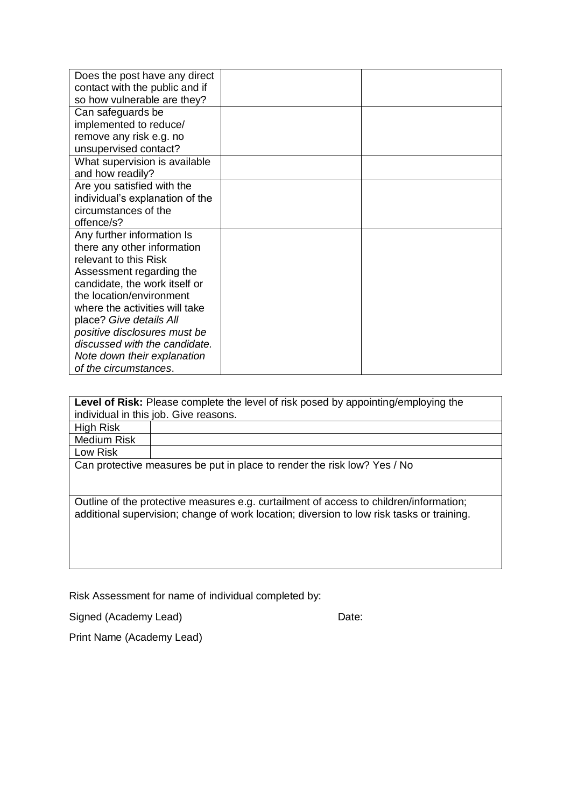| Does the post have any direct   |  |
|---------------------------------|--|
| contact with the public and if  |  |
| so how vulnerable are they?     |  |
| Can safeguards be               |  |
| implemented to reduce/          |  |
| remove any risk e.g. no         |  |
| unsupervised contact?           |  |
| What supervision is available   |  |
| and how readily?                |  |
| Are you satisfied with the      |  |
| individual's explanation of the |  |
| circumstances of the            |  |
| offence/s?                      |  |
| Any further information Is      |  |
| there any other information     |  |
| relevant to this Risk           |  |
| Assessment regarding the        |  |
| candidate, the work itself or   |  |
| the location/environment        |  |
| where the activities will take  |  |
| place? Give details All         |  |
| positive disclosures must be    |  |
| discussed with the candidate.   |  |
| Note down their explanation     |  |
| of the circumstances.           |  |

**Level of Risk:** Please complete the level of risk posed by appointing/employing the individual in this job. Give reasons. High Risk

Medium Risk

Low Risk

Can protective measures be put in place to render the risk low? Yes / No

Outline of the protective measures e.g. curtailment of access to children/information; additional supervision; change of work location; diversion to low risk tasks or training.

Risk Assessment for name of individual completed by:

Signed (Academy Lead) Date:

Print Name (Academy Lead)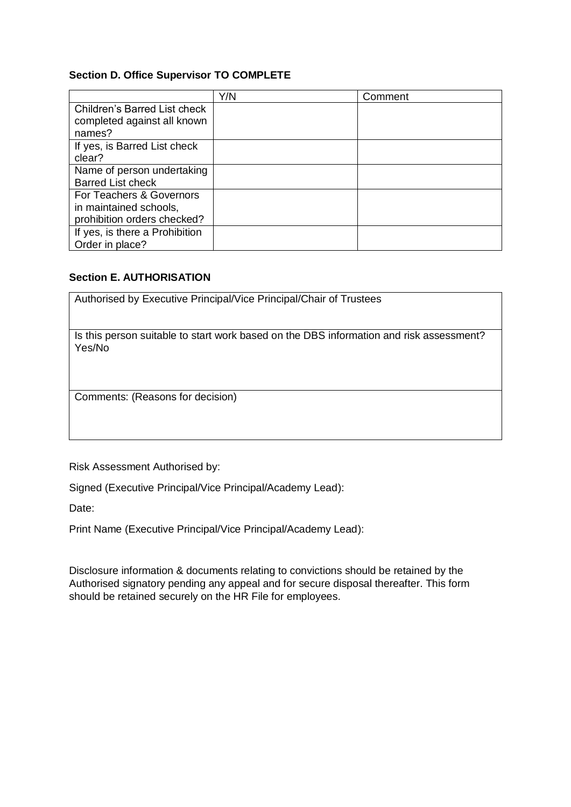## **Section D. Office Supervisor TO COMPLETE**

|                                     | Y/N | Comment |
|-------------------------------------|-----|---------|
| <b>Children's Barred List check</b> |     |         |
| completed against all known         |     |         |
| names?                              |     |         |
| If yes, is Barred List check        |     |         |
| clear?                              |     |         |
| Name of person undertaking          |     |         |
| <b>Barred List check</b>            |     |         |
| For Teachers & Governors            |     |         |
| in maintained schools,              |     |         |
| prohibition orders checked?         |     |         |
| If yes, is there a Prohibition      |     |         |
| Order in place?                     |     |         |

## **Section E. AUTHORISATION**

| Authorised by Executive Principal/Vice Principal/Chair of Trustees                                |
|---------------------------------------------------------------------------------------------------|
| Is this person suitable to start work based on the DBS information and risk assessment?<br>Yes/No |
| Comments: (Reasons for decision)                                                                  |

Risk Assessment Authorised by:

Signed (Executive Principal/Vice Principal/Academy Lead):

Date:

Print Name (Executive Principal/Vice Principal/Academy Lead):

Disclosure information & documents relating to convictions should be retained by the Authorised signatory pending any appeal and for secure disposal thereafter. This form should be retained securely on the HR File for employees.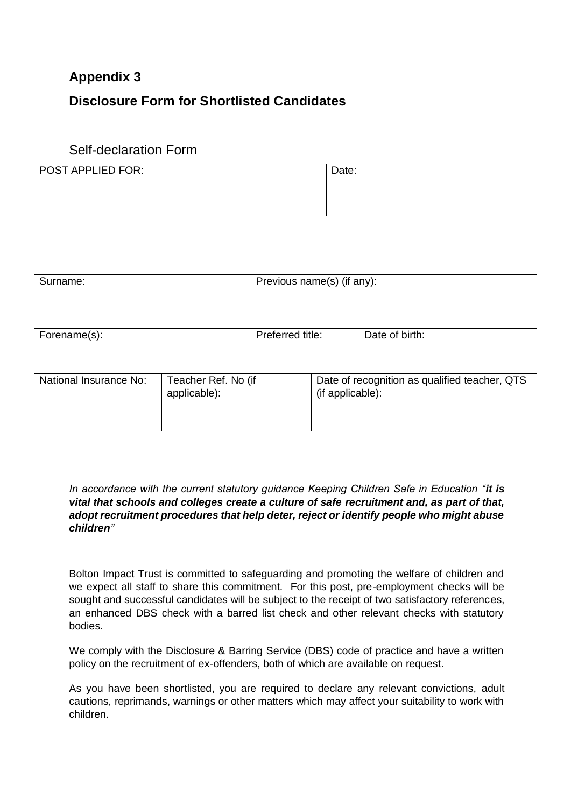# **Appendix 3**

# **Disclosure Form for Shortlisted Candidates**

# Self-declaration Form

| POST APPLIED FOR: | Date: |
|-------------------|-------|
|                   |       |
|                   |       |

| Surname:               |                                     | Previous name(s) (if any): |                  |                                               |
|------------------------|-------------------------------------|----------------------------|------------------|-----------------------------------------------|
| Forename(s):           |                                     | Preferred title:           |                  | Date of birth:                                |
| National Insurance No: | Teacher Ref. No (if<br>applicable): |                            | (if applicable): | Date of recognition as qualified teacher, QTS |

*In accordance with the current statutory guidance Keeping Children Safe in Education "it is vital that schools and colleges create a culture of safe recruitment and, as part of that, adopt recruitment procedures that help deter, reject or identify people who might abuse children"*

Bolton Impact Trust is committed to safeguarding and promoting the welfare of children and we expect all staff to share this commitment. For this post, pre-employment checks will be sought and successful candidates will be subject to the receipt of two satisfactory references, an enhanced DBS check with a barred list check and other relevant checks with statutory bodies.

We comply with the Disclosure & Barring Service (DBS) code of practice and have a written policy on the recruitment of ex-offenders, both of which are available on request.

As you have been shortlisted, you are required to declare any relevant convictions, adult cautions, reprimands, warnings or other matters which may affect your suitability to work with children.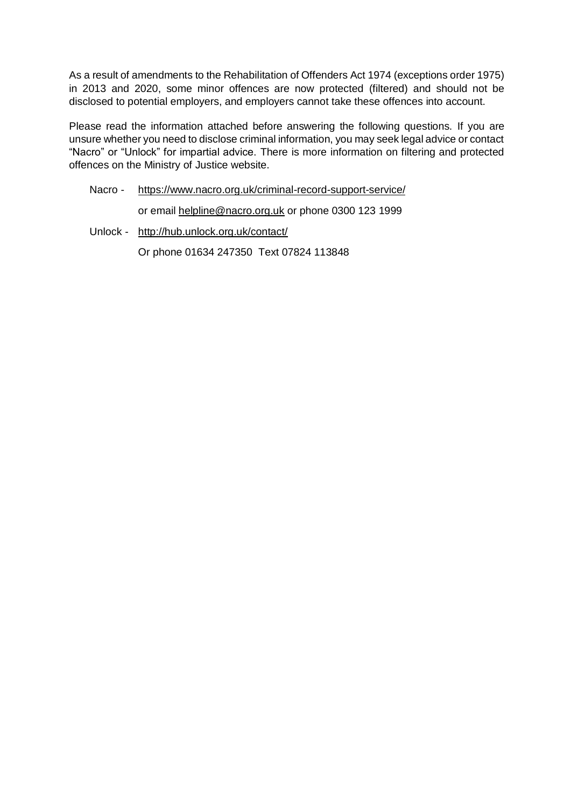As a result of amendments to the Rehabilitation of Offenders Act 1974 (exceptions order 1975) in 2013 and 2020, some minor offences are now protected (filtered) and should not be disclosed to potential employers, and employers cannot take these offences into account.

Please read the information attached before answering the following questions. If you are unsure whether you need to disclose criminal information, you may seek legal advice or contact "Nacro" or "Unlock" for impartial advice. There is more information on filtering and protected offences on the Ministry of Justice website.

# Nacro - <https://www.nacro.org.uk/criminal-record-support-service/>

or email [helpline@nacro.org.uk](mailto:helpline@nacro.org.uk) or phone 0300 123 1999

Unlock - <http://hub.unlock.org.uk/contact/>

Or phone 01634 247350 Text 07824 113848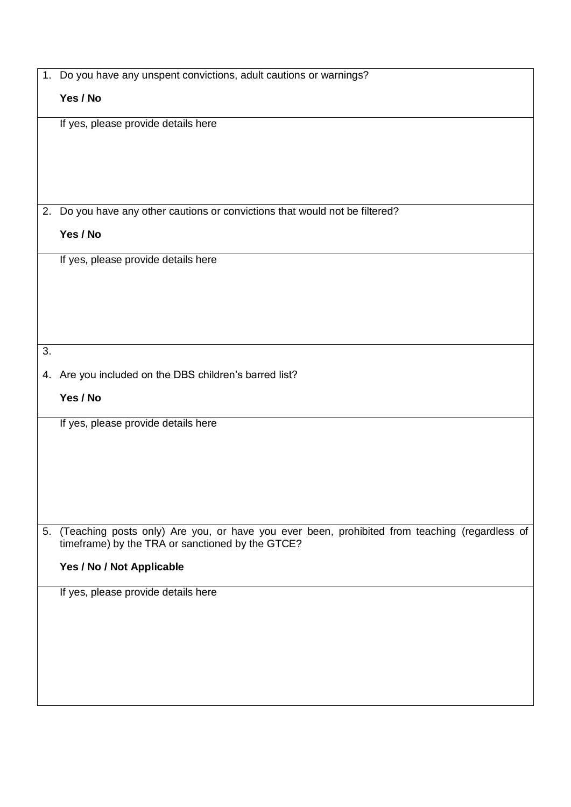|    | 1. Do you have any unspent convictions, adult cautions or warnings?                                                                                  |
|----|------------------------------------------------------------------------------------------------------------------------------------------------------|
|    | Yes / No                                                                                                                                             |
|    | If yes, please provide details here                                                                                                                  |
|    |                                                                                                                                                      |
|    |                                                                                                                                                      |
|    |                                                                                                                                                      |
|    | 2. Do you have any other cautions or convictions that would not be filtered?                                                                         |
|    |                                                                                                                                                      |
|    | Yes / No                                                                                                                                             |
|    | If yes, please provide details here                                                                                                                  |
|    |                                                                                                                                                      |
|    |                                                                                                                                                      |
|    |                                                                                                                                                      |
|    |                                                                                                                                                      |
| 3. |                                                                                                                                                      |
|    | 4. Are you included on the DBS children's barred list?                                                                                               |
|    | Yes / No                                                                                                                                             |
|    | If yes, please provide details here                                                                                                                  |
|    |                                                                                                                                                      |
|    |                                                                                                                                                      |
|    |                                                                                                                                                      |
|    |                                                                                                                                                      |
|    |                                                                                                                                                      |
|    | 5. (Teaching posts only) Are you, or have you ever been, prohibited from teaching (regardless of<br>timeframe) by the TRA or sanctioned by the GTCE? |
|    | Yes / No / Not Applicable                                                                                                                            |
|    | If yes, please provide details here                                                                                                                  |
|    |                                                                                                                                                      |
|    |                                                                                                                                                      |
|    |                                                                                                                                                      |
|    |                                                                                                                                                      |
|    |                                                                                                                                                      |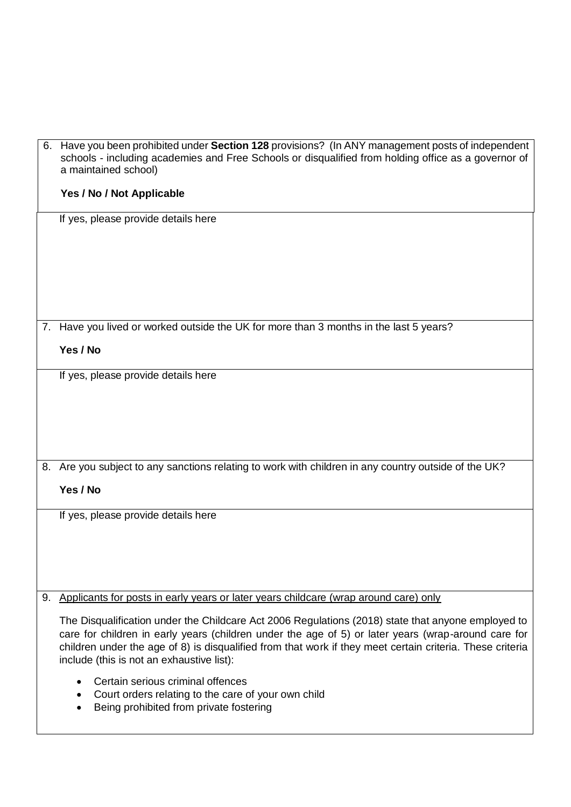|    | 6. Have you been prohibited under Section 128 provisions? (In ANY management posts of independent<br>schools - including academies and Free Schools or disqualified from holding office as a governor of<br>a maintained school)                                                                                                                                    |
|----|---------------------------------------------------------------------------------------------------------------------------------------------------------------------------------------------------------------------------------------------------------------------------------------------------------------------------------------------------------------------|
|    | Yes / No / Not Applicable                                                                                                                                                                                                                                                                                                                                           |
|    | If yes, please provide details here                                                                                                                                                                                                                                                                                                                                 |
|    | 7. Have you lived or worked outside the UK for more than 3 months in the last 5 years?                                                                                                                                                                                                                                                                              |
|    | Yes / No                                                                                                                                                                                                                                                                                                                                                            |
|    | If yes, please provide details here                                                                                                                                                                                                                                                                                                                                 |
|    |                                                                                                                                                                                                                                                                                                                                                                     |
|    | 8. Are you subject to any sanctions relating to work with children in any country outside of the UK?                                                                                                                                                                                                                                                                |
|    | Yes / No                                                                                                                                                                                                                                                                                                                                                            |
|    | If yes, please provide details here                                                                                                                                                                                                                                                                                                                                 |
| 9. | Applicants for posts in early years or later years childcare (wrap around care) only                                                                                                                                                                                                                                                                                |
|    | The Disqualification under the Childcare Act 2006 Regulations (2018) state that anyone employed to<br>care for children in early years (children under the age of 5) or later years (wrap-around care for<br>children under the age of 8) is disqualified from that work if they meet certain criteria. These criteria<br>include (this is not an exhaustive list): |
|    | Certain serious criminal offences<br>Court orders relating to the care of your own child                                                                                                                                                                                                                                                                            |

**•** Being prohibited from private fostering